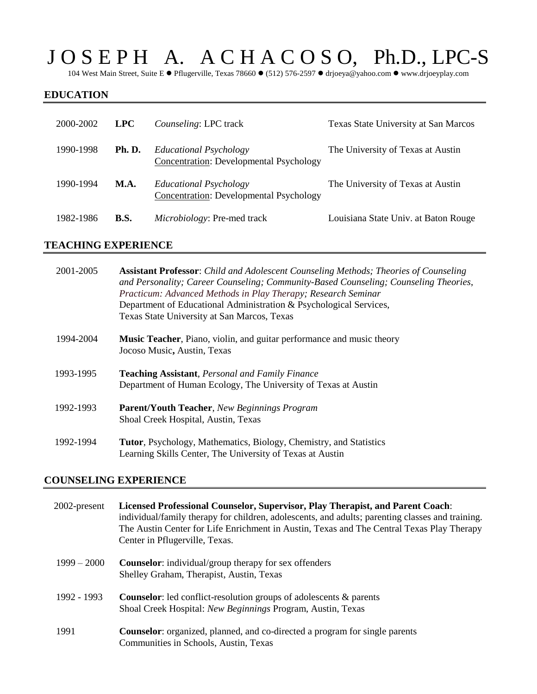# J O S E P H A. A C H A C O S O, Ph.D., LPC-S

104 West Main Street, Suite E ⚫ Pflugerville, Texas 78660 ⚫ (512) 576-2597 ⚫ drjoeya@yahoo.com ⚫ www.drjoeyplay.com

## **EDUCATION**

| 2000-2002 | <b>LPC</b>  | Counseling: LPC track                                                           | Texas State University at San Marcos |
|-----------|-------------|---------------------------------------------------------------------------------|--------------------------------------|
| 1990-1998 | Ph. D.      | <b>Educational Psychology</b><br><b>Concentration: Developmental Psychology</b> | The University of Texas at Austin    |
| 1990-1994 | <b>M.A.</b> | Educational Psychology<br><b>Concentration:</b> Developmental Psychology        | The University of Texas at Austin    |
| 1982-1986 | <b>B.S.</b> | Microbiology: Pre-med track                                                     | Louisiana State Univ. at Baton Rouge |

# **TEACHING EXPERIENCE**

| 2001-2005 | <b>Assistant Professor:</b> Child and Adolescent Counseling Methods; Theories of Counseling<br>and Personality; Career Counseling; Community-Based Counseling; Counseling Theories,<br>Practicum: Advanced Methods in Play Therapy; Research Seminar<br>Department of Educational Administration & Psychological Services,<br>Texas State University at San Marcos, Texas |
|-----------|---------------------------------------------------------------------------------------------------------------------------------------------------------------------------------------------------------------------------------------------------------------------------------------------------------------------------------------------------------------------------|
| 1994-2004 | <b>Music Teacher</b> , Piano, violin, and guitar performance and music theory<br>Jocoso Music, Austin, Texas                                                                                                                                                                                                                                                              |
| 1993-1995 | <b>Teaching Assistant, Personal and Family Finance</b><br>Department of Human Ecology, The University of Texas at Austin                                                                                                                                                                                                                                                  |
| 1992-1993 | <b>Parent/Youth Teacher, New Beginnings Program</b><br>Shoal Creek Hospital, Austin, Texas                                                                                                                                                                                                                                                                                |
| 1992-1994 | <b>Tutor, Psychology, Mathematics, Biology, Chemistry, and Statistics</b><br>Learning Skills Center, The University of Texas at Austin                                                                                                                                                                                                                                    |

### **COUNSELING EXPERIENCE**

| 2002-present  | Licensed Professional Counselor, Supervisor, Play Therapist, and Parent Coach:<br>individual/family therapy for children, adolescents, and adults; parenting classes and training.<br>The Austin Center for Life Enrichment in Austin, Texas and The Central Texas Play Therapy<br>Center in Pflugerville, Texas. |
|---------------|-------------------------------------------------------------------------------------------------------------------------------------------------------------------------------------------------------------------------------------------------------------------------------------------------------------------|
| $1999 - 2000$ | <b>Counselor:</b> individual/group therapy for sex offenders<br>Shelley Graham, Therapist, Austin, Texas                                                                                                                                                                                                          |
| 1992 - 1993   | <b>Counselor:</b> led conflict-resolution groups of adolescents & parents<br>Shoal Creek Hospital: New Beginnings Program, Austin, Texas                                                                                                                                                                          |
| 1991          | <b>Counselor:</b> organized, planned, and co-directed a program for single parents<br>Communities in Schools, Austin, Texas                                                                                                                                                                                       |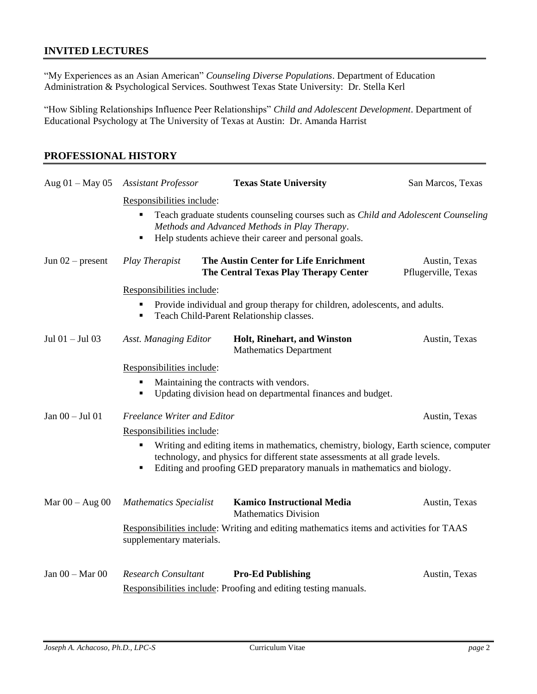## **INVITED LECTURES**

"My Experiences as an Asian American" *Counseling Diverse Populations*. Department of Education Administration & Psychological Services. Southwest Texas State University: Dr. Stella Kerl

"How Sibling Relationships Influence Peer Relationships" *Child and Adolescent Development*. Department of Educational Psychology at The University of Texas at Austin: Dr. Amanda Harrist

| Aug $01 -$ May 05                                                                                                                                                                                                                                           | <b>Assistant Professor</b>                                                                                                                     | <b>Texas State University</b>                                                                                                                                                                 | San Marcos, Texas                    |  |
|-------------------------------------------------------------------------------------------------------------------------------------------------------------------------------------------------------------------------------------------------------------|------------------------------------------------------------------------------------------------------------------------------------------------|-----------------------------------------------------------------------------------------------------------------------------------------------------------------------------------------------|--------------------------------------|--|
|                                                                                                                                                                                                                                                             | Responsibilities include:                                                                                                                      |                                                                                                                                                                                               |                                      |  |
|                                                                                                                                                                                                                                                             | ٠<br>٠                                                                                                                                         | Teach graduate students counseling courses such as Child and Adolescent Counseling<br>Methods and Advanced Methods in Play Therapy.<br>Help students achieve their career and personal goals. |                                      |  |
| Jun $02$ – present                                                                                                                                                                                                                                          | <b>Play Therapist</b>                                                                                                                          | The Austin Center for Life Enrichment<br>The Central Texas Play Therapy Center                                                                                                                | Austin, Texas<br>Pflugerville, Texas |  |
|                                                                                                                                                                                                                                                             | Responsibilities include:                                                                                                                      |                                                                                                                                                                                               |                                      |  |
|                                                                                                                                                                                                                                                             | Provide individual and group therapy for children, adolescents, and adults.<br>٠<br>Teach Child-Parent Relationship classes.<br>$\blacksquare$ |                                                                                                                                                                                               |                                      |  |
| Jul $01 -$ Jul $03$                                                                                                                                                                                                                                         | Asst. Managing Editor                                                                                                                          | Holt, Rinehart, and Winston<br><b>Mathematics Department</b>                                                                                                                                  | Austin, Texas                        |  |
|                                                                                                                                                                                                                                                             | Responsibilities include:                                                                                                                      |                                                                                                                                                                                               |                                      |  |
|                                                                                                                                                                                                                                                             | Maintaining the contracts with vendors.<br>٠<br>Updating division head on departmental finances and budget.<br>٠                               |                                                                                                                                                                                               |                                      |  |
| Jan $00 -$ Jul $01$                                                                                                                                                                                                                                         | Freelance Writer and Editor                                                                                                                    |                                                                                                                                                                                               | Austin, Texas                        |  |
|                                                                                                                                                                                                                                                             | Responsibilities include:                                                                                                                      |                                                                                                                                                                                               |                                      |  |
| Writing and editing items in mathematics, chemistry, biology, Earth science, computer<br>٠<br>technology, and physics for different state assessments at all grade levels.<br>Editing and proofing GED preparatory manuals in mathematics and biology.<br>٠ |                                                                                                                                                |                                                                                                                                                                                               |                                      |  |
| Mar $00 - Aug 00$                                                                                                                                                                                                                                           | <b>Mathematics Specialist</b>                                                                                                                  | <b>Kamico Instructional Media</b><br><b>Mathematics Division</b>                                                                                                                              | Austin, Texas                        |  |
|                                                                                                                                                                                                                                                             | supplementary materials.                                                                                                                       | Responsibilities include: Writing and editing mathematics items and activities for TAAS                                                                                                       |                                      |  |
| Jan $00 - \text{Mar } 00$                                                                                                                                                                                                                                   | <b>Research Consultant</b>                                                                                                                     | <b>Pro-Ed Publishing</b>                                                                                                                                                                      | Austin, Texas                        |  |
|                                                                                                                                                                                                                                                             |                                                                                                                                                | Responsibilities include: Proofing and editing testing manuals.                                                                                                                               |                                      |  |

# **PROFESSIONAL HISTORY**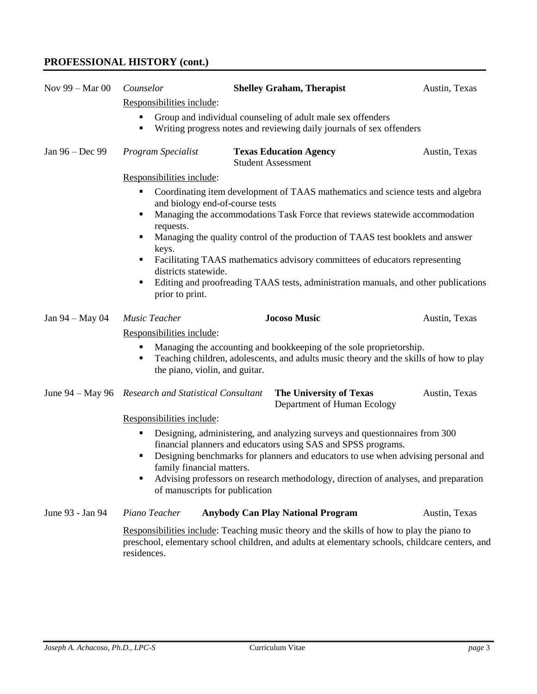# **PROFESSIONAL HISTORY (cont.)**

| Nov 99 – Mar 00  | Counselor<br>Responsibilities include:                                                                                                                                                                                                                                                                                                                                                                                                                                                                                                                                       | <b>Shelley Graham, Therapist</b>                                                                                                                             | Austin, Texas |  |
|------------------|------------------------------------------------------------------------------------------------------------------------------------------------------------------------------------------------------------------------------------------------------------------------------------------------------------------------------------------------------------------------------------------------------------------------------------------------------------------------------------------------------------------------------------------------------------------------------|--------------------------------------------------------------------------------------------------------------------------------------------------------------|---------------|--|
|                  | ٠<br>٠                                                                                                                                                                                                                                                                                                                                                                                                                                                                                                                                                                       | Group and individual counseling of adult male sex offenders<br>Writing progress notes and reviewing daily journals of sex offenders                          |               |  |
| Jan 96 – Dec 99  | Program Specialist                                                                                                                                                                                                                                                                                                                                                                                                                                                                                                                                                           | <b>Texas Education Agency</b><br><b>Student Assessment</b>                                                                                                   | Austin, Texas |  |
|                  | Responsibilities include:<br>Coordinating item development of TAAS mathematics and science tests and algebra<br>٠<br>and biology end-of-course tests<br>Managing the accommodations Task Force that reviews statewide accommodation<br>٠<br>requests.<br>Managing the quality control of the production of TAAS test booklets and answer<br>٠<br>keys.<br>Facilitating TAAS mathematics advisory committees of educators representing<br>districts statewide.<br>Editing and proofreading TAAS tests, administration manuals, and other publications<br>٠<br>prior to print. |                                                                                                                                                              |               |  |
| Jan 94 – May 04  | Music Teacher                                                                                                                                                                                                                                                                                                                                                                                                                                                                                                                                                                | <b>Jocoso Music</b>                                                                                                                                          | Austin, Texas |  |
|                  | Responsibilities include:<br>٠<br>٠<br>the piano, violin, and guitar.                                                                                                                                                                                                                                                                                                                                                                                                                                                                                                        | Managing the accounting and bookkeeping of the sole proprietorship.<br>Teaching children, adolescents, and adults music theory and the skills of how to play |               |  |
|                  | June 94 – May 96 Research and Statistical Consultant                                                                                                                                                                                                                                                                                                                                                                                                                                                                                                                         | The University of Texas<br>Department of Human Ecology                                                                                                       | Austin, Texas |  |
|                  | Responsibilities include:<br>Designing, administering, and analyzing surveys and questionnaires from 300<br>$\blacksquare$<br>financial planners and educators using SAS and SPSS programs.<br>Designing benchmarks for planners and educators to use when advising personal and<br>٠<br>family financial matters.<br>Advising professors on research methodology, direction of analyses, and preparation<br>٠<br>of manuscripts for publication                                                                                                                             |                                                                                                                                                              |               |  |
| June 93 - Jan 94 | Piano Teacher                                                                                                                                                                                                                                                                                                                                                                                                                                                                                                                                                                | <b>Anybody Can Play National Program</b>                                                                                                                     | Austin, Texas |  |
|                  | Responsibilities include: Teaching music theory and the skills of how to play the piano to<br>preschool, elementary school children, and adults at elementary schools, childcare centers, and<br>residences.                                                                                                                                                                                                                                                                                                                                                                 |                                                                                                                                                              |               |  |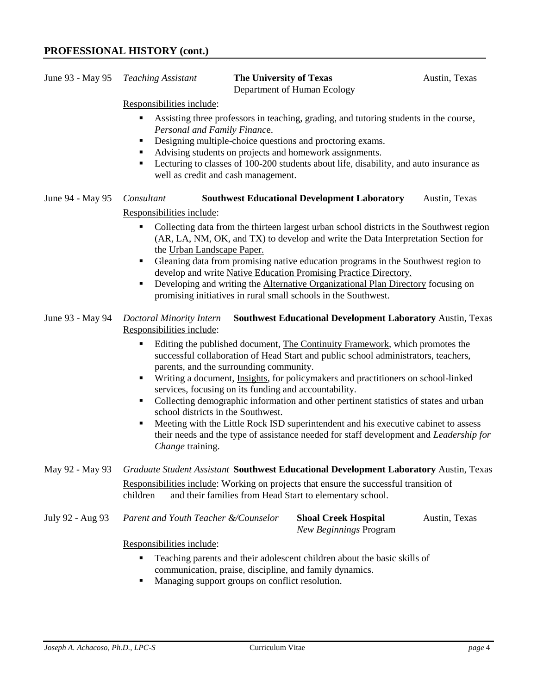June 93 - May 95 *Teaching Assistant* **The University of Texas** Austin, Texas

Department of Human Ecology

Responsibilities include:

- **Example 1** Assisting three professors in teaching, grading, and tutoring students in the course, *Personal and Family Financ*e.
- Designing multiple-choice questions and proctoring exams.
- Advising students on projects and homework assignments.
- **•** Lecturing to classes of 100-200 students about life, disability, and auto insurance as well as credit and cash management.

### June 94 - May 95 *Consultant* **Southwest Educational Development Laboratory** Austin, Texas

#### Responsibilities include:

- Collecting data from the thirteen largest urban school districts in the Southwest region (AR, LA, NM, OK, and TX) to develop and write the Data Interpretation Section for the Urban Landscape Paper.
- Gleaning data from promising native education programs in the Southwest region to develop and write Native Education Promising Practice Directory.
- Developing and writing the Alternative Organizational Plan Directory focusing on promising initiatives in rural small schools in the Southwest.

### June 93 - May 94 *Doctoral Minority Intern* **Southwest Educational Development Laboratory** Austin, Texas Responsibilities include:

- Editing the published document, The Continuity Framework, which promotes the successful collaboration of Head Start and public school administrators, teachers, parents, and the surrounding community.
- Writing a document, Insights, for policymakers and practitioners on school-linked services, focusing on its funding and accountability.
- Collecting demographic information and other pertinent statistics of states and urban school districts in the Southwest.
- Meeting with the Little Rock ISD superintendent and his executive cabinet to assess their needs and the type of assistance needed for staff development and *Leadership for Change* training.

May 92 - May 93 *Graduate Student Assistant* **Southwest Educational Development Laboratory** Austin, Texas Responsibilities include: Working on projects that ensure the successful transition of children and their families from Head Start to elementary school.

| July 92 - Aug 93 | Parent and Youth Teacher &/Counselor | <b>Shoal Creek Hospital</b>   | Austin, Texas |
|------------------|--------------------------------------|-------------------------------|---------------|
|                  |                                      | <i>New Beginnings Program</i> |               |

### Responsibilities include:

- Teaching parents and their adolescent children about the basic skills of communication, praise, discipline, and family dynamics.
- Managing support groups on conflict resolution.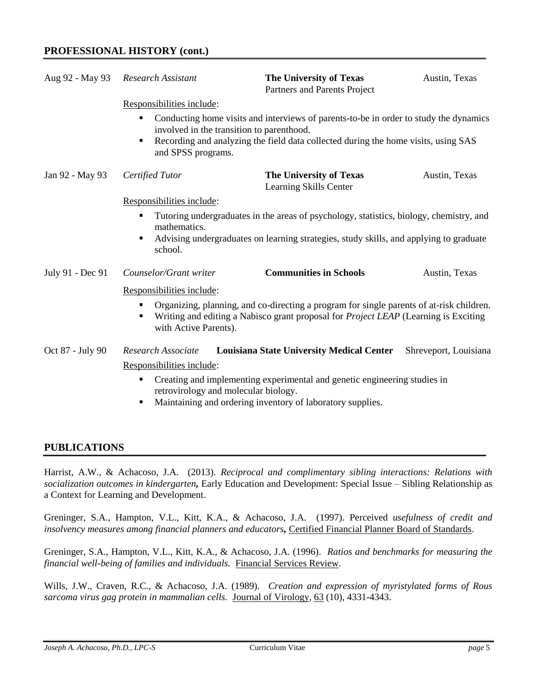| Aug 92 - May 93  | <b>Research Assistant</b>                                                                                                                                                                                                                                                          | <b>The University of Texas</b><br>Partners and Parents Project                                                                                                                    | Austin, Texas         |  |
|------------------|------------------------------------------------------------------------------------------------------------------------------------------------------------------------------------------------------------------------------------------------------------------------------------|-----------------------------------------------------------------------------------------------------------------------------------------------------------------------------------|-----------------------|--|
|                  | Responsibilities include:                                                                                                                                                                                                                                                          |                                                                                                                                                                                   |                       |  |
|                  | Conducting home visits and interviews of parents-to-be in order to study the dynamics<br>$\blacksquare$<br>involved in the transition to parenthood.<br>Recording and analyzing the field data collected during the home visits, using SAS<br>$\blacksquare$<br>and SPSS programs. |                                                                                                                                                                                   |                       |  |
| Jan 92 - May 93  | Certified Tutor                                                                                                                                                                                                                                                                    | <b>The University of Texas</b><br>Learning Skills Center                                                                                                                          | Austin, Texas         |  |
|                  | Responsibilities include:                                                                                                                                                                                                                                                          |                                                                                                                                                                                   |                       |  |
|                  | $\blacksquare$<br>mathematics.<br>٠<br>school.                                                                                                                                                                                                                                     | Tutoring undergraduates in the areas of psychology, statistics, biology, chemistry, and<br>Advising undergraduates on learning strategies, study skills, and applying to graduate |                       |  |
| July 91 - Dec 91 | Counselor/Grant writer                                                                                                                                                                                                                                                             | <b>Communities in Schools</b>                                                                                                                                                     | Austin, Texas         |  |
|                  | Responsibilities include:                                                                                                                                                                                                                                                          |                                                                                                                                                                                   |                       |  |
|                  | Organizing, planning, and co-directing a program for single parents of at-risk children.<br>٠<br>Writing and editing a Nabisco grant proposal for Project LEAP (Learning is Exciting<br>٠<br>with Active Parents).                                                                 |                                                                                                                                                                                   |                       |  |
| Oct 87 - July 90 | Research Associate                                                                                                                                                                                                                                                                 | <b>Louisiana State University Medical Center</b>                                                                                                                                  | Shreveport, Louisiana |  |
|                  | Responsibilities include:                                                                                                                                                                                                                                                          |                                                                                                                                                                                   |                       |  |
|                  | Creating and implementing experimental and genetic engineering studies in<br>٠<br>retrovirology and molecular biology.<br>Maintaining and ordering inventory of laboratory supplies.<br>٠                                                                                          |                                                                                                                                                                                   |                       |  |

### **PUBLICATIONS**

Harrist, A.W., & Achacoso, J.A. (2013). *Reciprocal and complimentary sibling interactions: Relations with socialization outcomes in kindergarten,* Early Education and Development: Special Issue – Sibling Relationship as a Context for Learning and Development.

Greninger, S.A., Hampton, V.L., Kitt, K.A., & Achacoso, J.A. (1997). Perceived *usefulness of credit and insolvency measures among financial planners and educators*, Certified Financial Planner Board of Standards.

Greninger, S.A., Hampton, V.L., Kitt, K.A., & Achacoso, J.A. (1996). *Ratios and benchmarks for measuring the financial well-being of families and individuals.* Financial Services Review.

Wills, J.W., Craven, R.C., & Achacoso, J.A. (1989). *Creation and expression of myristylated forms of Rous sarcoma virus gag protein in mammalian cells.* Journal of Virology, 63 (10), 4331-4343.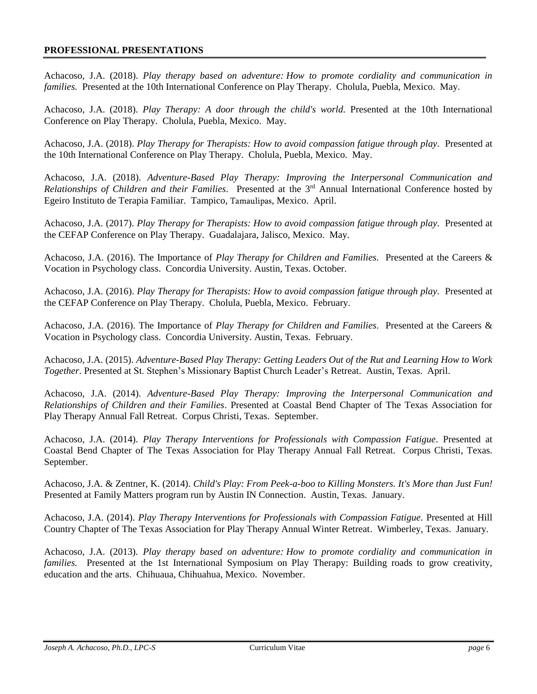#### **PROFESSIONAL PRESENTATIONS**

Achacoso, J.A. (2018). *Play therapy based on adventure: How to promote cordiality and communication in families.* Presented at the 10th International Conference on Play Therapy. Cholula, Puebla, Mexico. May.

Achacoso, J.A. (2018). *Play Therapy: A door through the child's world.* Presented at the 10th International Conference on Play Therapy. Cholula, Puebla, Mexico. May.

Achacoso, J.A. (2018). *Play Therapy for Therapists: How to avoid compassion fatigue through play.* Presented at the 10th International Conference on Play Therapy. Cholula, Puebla, Mexico. May.

Achacoso, J.A. (2018). *Adventure-Based Play Therapy: Improving the Interpersonal Communication and*  Relationships of Children and their Families. Presented at the 3<sup>rd</sup> Annual International Conference hosted by Egeiro Instituto de Terapia Familiar. Tampico, Tamaulipas, Mexico. April.

Achacoso, J.A. (2017). *Play Therapy for Therapists: How to avoid compassion fatigue through play.* Presented at the CEFAP Conference on Play Therapy. Guadalajara, Jalisco, Mexico. May.

Achacoso, J.A. (2016). The Importance of *Play Therapy for Children and Families.* Presented at the Careers & Vocation in Psychology class. Concordia University. Austin, Texas. October.

Achacoso, J.A. (2016). *Play Therapy for Therapists: How to avoid compassion fatigue through play.* Presented at the CEFAP Conference on Play Therapy. Cholula, Puebla, Mexico. February.

Achacoso, J.A. (2016). The Importance of *Play Therapy for Children and Families.* Presented at the Careers & Vocation in Psychology class. Concordia University. Austin, Texas. February.

Achacoso, J.A. (2015). *Adventure-Based Play Therapy: Getting Leaders Out of the Rut and Learning How to Work Together*. Presented at St. Stephen's Missionary Baptist Church Leader's Retreat. Austin, Texas. April.

Achacoso, J.A. (2014). *Adventure-Based Play Therapy: Improving the Interpersonal Communication and Relationships of Children and their Families*. Presented at Coastal Bend Chapter of The Texas Association for Play Therapy Annual Fall Retreat. Corpus Christi, Texas. September.

Achacoso, J.A. (2014). *Play Therapy Interventions for Professionals with Compassion Fatigue.* Presented at Coastal Bend Chapter of The Texas Association for Play Therapy Annual Fall Retreat. Corpus Christi, Texas. September.

Achacoso, J.A. & Zentner, K. (2014). *Child's Play: From Peek-a-boo to Killing Monsters. It's More than Just Fun!* Presented at Family Matters program run by Austin IN Connection. Austin, Texas. January.

Achacoso, J.A. (2014). *Play Therapy Interventions for Professionals with Compassion Fatigue.* Presented at Hill Country Chapter of The Texas Association for Play Therapy Annual Winter Retreat. Wimberley, Texas. January.

Achacoso, J.A. (2013). *Play therapy based on adventure: How to promote cordiality and communication in families.* Presented at the 1st International Symposium on Play Therapy: Building roads to grow creativity, education and the arts. Chihuaua, Chihuahua, Mexico. November.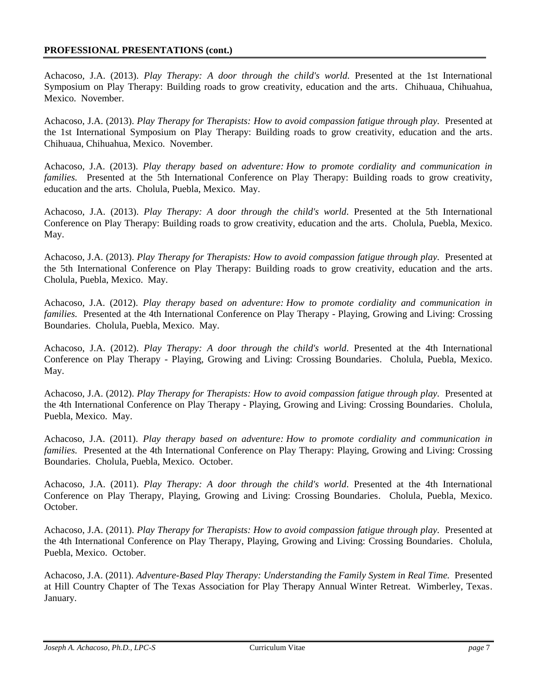#### **PROFESSIONAL PRESENTATIONS (cont.)**

Achacoso, J.A. (2013). *Play Therapy: A door through the child's world.* Presented at the 1st International Symposium on Play Therapy: Building roads to grow creativity, education and the arts. Chihuaua, Chihuahua, Mexico. November.

Achacoso, J.A. (2013). *Play Therapy for Therapists: How to avoid compassion fatigue through play.* Presented at the 1st International Symposium on Play Therapy: Building roads to grow creativity, education and the arts. Chihuaua, Chihuahua, Mexico. November.

Achacoso, J.A. (2013). *Play therapy based on adventure: How to promote cordiality and communication in families.* Presented at the 5th International Conference on Play Therapy: Building roads to grow creativity, education and the arts. Cholula, Puebla, Mexico. May.

Achacoso, J.A. (2013). *Play Therapy: A door through the child's world.* Presented at the 5th International Conference on Play Therapy: Building roads to grow creativity, education and the arts. Cholula, Puebla, Mexico. May.

Achacoso, J.A. (2013). *Play Therapy for Therapists: How to avoid compassion fatigue through play.* Presented at the 5th International Conference on Play Therapy: Building roads to grow creativity, education and the arts. Cholula, Puebla, Mexico. May.

Achacoso, J.A. (2012). *Play therapy based on adventure: How to promote cordiality and communication in families.* Presented at the 4th International Conference on Play Therapy - Playing, Growing and Living: Crossing Boundaries. Cholula, Puebla, Mexico. May.

Achacoso, J.A. (2012). *Play Therapy: A door through the child's world.* Presented at the 4th International Conference on Play Therapy - Playing, Growing and Living: Crossing Boundaries. Cholula, Puebla, Mexico. May.

Achacoso, J.A. (2012). *Play Therapy for Therapists: How to avoid compassion fatigue through play.* Presented at the 4th International Conference on Play Therapy - Playing, Growing and Living: Crossing Boundaries. Cholula, Puebla, Mexico. May.

Achacoso, J.A. (2011). *Play therapy based on adventure: How to promote cordiality and communication in families.* Presented at the 4th International Conference on Play Therapy: Playing, Growing and Living: Crossing Boundaries. Cholula, Puebla, Mexico. October.

Achacoso, J.A. (2011). *Play Therapy: A door through the child's world.* Presented at the 4th International Conference on Play Therapy, Playing, Growing and Living: Crossing Boundaries. Cholula, Puebla, Mexico. October.

Achacoso, J.A. (2011). *Play Therapy for Therapists: How to avoid compassion fatigue through play.* Presented at the 4th International Conference on Play Therapy, Playing, Growing and Living: Crossing Boundaries. Cholula, Puebla, Mexico. October.

Achacoso, J.A. (2011). *Adventure-Based Play Therapy: Understanding the Family System in Real Time.* Presented at Hill Country Chapter of The Texas Association for Play Therapy Annual Winter Retreat. Wimberley, Texas. January.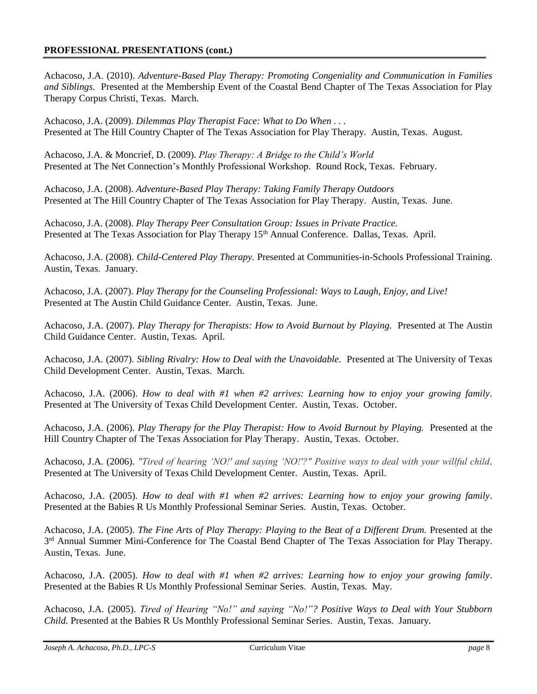Achacoso, J.A. (2010). *Adventure-Based Play Therapy: Promoting Congeniality and Communication in Families and Siblings.* Presented at the Membership Event of the Coastal Bend Chapter of The Texas Association for Play Therapy Corpus Christi, Texas. March.

Achacoso, J.A. (2009). *Dilemmas Play Therapist Face: What to Do When . . .* Presented at The Hill Country Chapter of The Texas Association for Play Therapy. Austin, Texas. August.

Achacoso, J.A. & Moncrief, D. (2009). *Play Therapy: A Bridge to the Child's World* Presented at The Net Connection's Monthly Professional Workshop. Round Rock, Texas. February.

Achacoso, J.A. (2008). *Adventure-Based Play Therapy: Taking Family Therapy Outdoors* Presented at The Hill Country Chapter of The Texas Association for Play Therapy. Austin, Texas. June.

Achacoso, J.A. (2008). *Play Therapy Peer Consultation Group: Issues in Private Practice.* Presented at The Texas Association for Play Therapy 15th Annual Conference. Dallas, Texas. April.

Achacoso, J.A. (2008). *Child-Centered Play Therapy.* Presented at Communities-in-Schools Professional Training. Austin, Texas. January.

Achacoso, J.A. (2007). *Play Therapy for the Counseling Professional: Ways to Laugh, Enjoy, and Live!* Presented at The Austin Child Guidance Center. Austin, Texas. June.

Achacoso, J.A. (2007). *Play Therapy for Therapists: How to Avoid Burnout by Playing.* Presented at The Austin Child Guidance Center. Austin, Texas. April.

Achacoso, J.A. (2007). *Sibling Rivalry: How to Deal with the Unavoidable.* Presented at The University of Texas Child Development Center. Austin, Texas. March.

Achacoso, J.A. (2006). *How to deal with #1 when #2 arrives: Learning how to enjoy your growing family.*  Presented at The University of Texas Child Development Center. Austin, Texas. October.

Achacoso, J.A. (2006). *Play Therapy for the Play Therapist: How to Avoid Burnout by Playing.* Presented at the Hill Country Chapter of The Texas Association for Play Therapy. Austin, Texas. October.

Achacoso, J.A. (2006). *"Tired of hearing 'NO!' and saying 'NO!'?" Positive ways to deal with your willful child.*  Presented at The University of Texas Child Development Center. Austin, Texas. April.

Achacoso, J.A. (2005). *How to deal with #1 when #2 arrives: Learning how to enjoy your growing family.*  Presented at the Babies R Us Monthly Professional Seminar Series. Austin, Texas. October.

Achacoso, J.A. (2005). *The Fine Arts of Play Therapy: Playing to the Beat of a Different Drum.* Presented at the 3<sup>rd</sup> Annual Summer Mini-Conference for The Coastal Bend Chapter of The Texas Association for Play Therapy. Austin, Texas. June.

Achacoso, J.A. (2005). *How to deal with #1 when #2 arrives: Learning how to enjoy your growing family.*  Presented at the Babies R Us Monthly Professional Seminar Series. Austin, Texas. May.

Achacoso, J.A. (2005). *Tired of Hearing "No!" and saying "No!"? Positive Ways to Deal with Your Stubborn Child.* Presented at the Babies R Us Monthly Professional Seminar Series. Austin, Texas. January.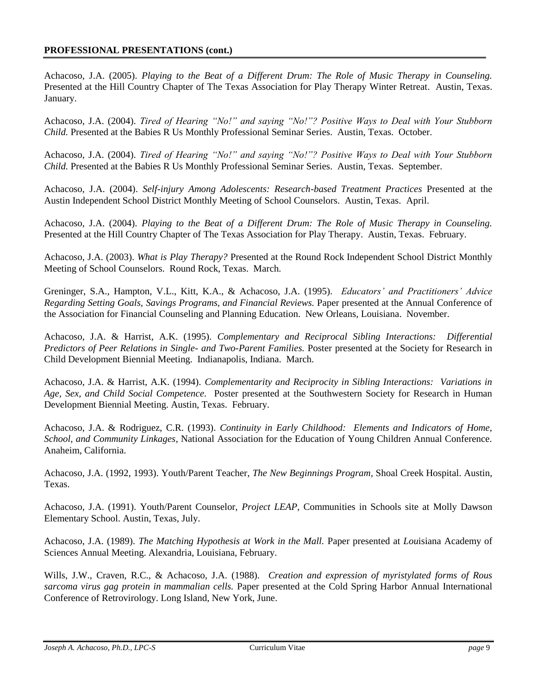#### **PROFESSIONAL PRESENTATIONS (cont.)**

Achacoso, J.A. (2005). *Playing to the Beat of a Different Drum: The Role of Music Therapy in Counseling.*  Presented at the Hill Country Chapter of The Texas Association for Play Therapy Winter Retreat. Austin, Texas. January.

Achacoso, J.A. (2004). *Tired of Hearing "No!" and saying "No!"? Positive Ways to Deal with Your Stubborn Child.* Presented at the Babies R Us Monthly Professional Seminar Series. Austin, Texas. October.

Achacoso, J.A. (2004). *Tired of Hearing "No!" and saying "No!"? Positive Ways to Deal with Your Stubborn Child.* Presented at the Babies R Us Monthly Professional Seminar Series. Austin, Texas. September.

Achacoso, J.A. (2004). *Self-injury Among Adolescents: Research-based Treatment Practices* Presented at the Austin Independent School District Monthly Meeting of School Counselors. Austin, Texas. April.

Achacoso, J.A. (2004). *Playing to the Beat of a Different Drum: The Role of Music Therapy in Counseling.*  Presented at the Hill Country Chapter of The Texas Association for Play Therapy. Austin, Texas. February.

Achacoso, J.A. (2003). *What is Play Therapy?* Presented at the Round Rock Independent School District Monthly Meeting of School Counselors. Round Rock, Texas. March.

Greninger, S.A., Hampton, V.L., Kitt, K.A., & Achacoso, J.A. (1995). *Educators' and Practitioners' Advice Regarding Setting Goals, Savings Programs, and Financial Reviews.* Paper presented at the Annual Conference of the Association for Financial Counseling and Planning Education. New Orleans, Louisiana. November.

Achacoso, J.A. & Harrist, A.K. (1995). *Complementary and Reciprocal Sibling Interactions: Differential Predictors of Peer Relations in Single- and Two-Parent Families.* Poster presented at the Society for Research in Child Development Biennial Meeting. Indianapolis, Indiana. March.

Achacoso, J.A. & Harrist, A.K. (1994). *Complementarity and Reciprocity in Sibling Interactions: Variations in Age, Sex, and Child Social Competence.* Poster presented at the Southwestern Society for Research in Human Development Biennial Meeting. Austin, Texas. February.

Achacoso, J.A. & Rodriguez, C.R. (1993). *Continuity in Early Childhood: Elements and Indicators of Home, School, and Community Linkages,* National Association for the Education of Young Children Annual Conference. Anaheim, California.

Achacoso, J.A. (1992, 1993). Youth/Parent Teacher, *The New Beginnings Program,* Shoal Creek Hospital. Austin, Texas.

Achacoso, J.A. (1991). Youth/Parent Counselor, *Project LEAP,* Communities in Schools site at Molly Dawson Elementary School. Austin, Texas, July.

Achacoso, J.A. (1989). *The Matching Hypothesis at Work in the Mall.* Paper presented at *Lou*isiana Academy of Sciences Annual Meeting. Alexandria, Louisiana, February.

Wills, J.W., Craven, R.C., & Achacoso, J.A. (1988). *Creation and expression of myristylated forms of Rous sarcoma virus gag protein in mammalian cells.* Paper presented at the Cold Spring Harbor Annual International Conference of Retrovirology. Long Island, New York, June.